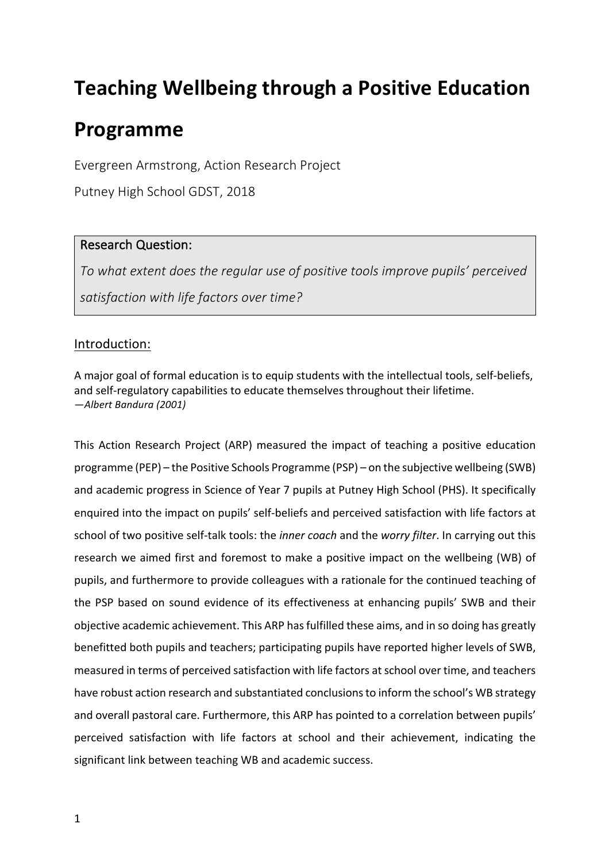# **Teaching Wellbeing through a Positive Education**

# **Programme**

Evergreen Armstrong, Action Research Project

Putney High School GDST, 2018

# Research Question:

To what extent does the regular use of positive tools improve pupils' perceived satisfaction with life factors over time?

# Introduction:

A major goal of formal education is to equip students with the intellectual tools, self-beliefs, and self-regulatory capabilities to educate themselves throughout their lifetime. *—Albert Bandura (2001)*

This Action Research Project (ARP) measured the impact of teaching a positive education programme (PEP) – the Positive Schools Programme (PSP) – on the subjective wellbeing (SWB) and academic progress in Science of Year 7 pupils at Putney High School (PHS). It specifically enquired into the impact on pupils' self-beliefs and perceived satisfaction with life factors at school of two positive self-talk tools: the *inner coach* and the *worry filter*. In carrying out this research we aimed first and foremost to make a positive impact on the wellbeing (WB) of pupils, and furthermore to provide colleagues with a rationale for the continued teaching of the PSP based on sound evidence of its effectiveness at enhancing pupils' SWB and their objective academic achievement. This ARP has fulfilled these aims, and in so doing has greatly benefitted both pupils and teachers; participating pupils have reported higher levels of SWB, measured in terms of perceived satisfaction with life factors at school over time, and teachers have robust action research and substantiated conclusions to inform the school's WB strategy and overall pastoral care. Furthermore, this ARP has pointed to a correlation between pupils' perceived satisfaction with life factors at school and their achievement, indicating the significant link between teaching WB and academic success.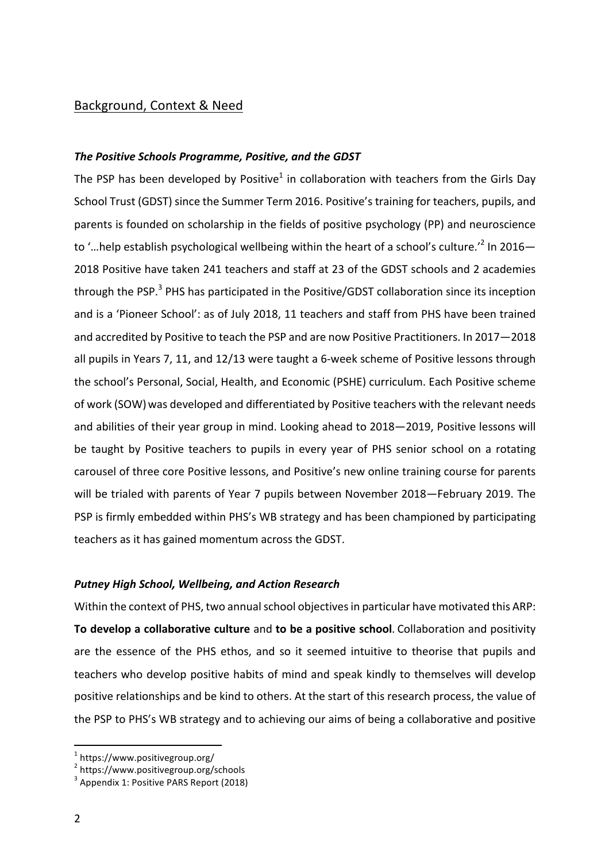## Background, Context & Need

## **The Positive Schools Programme, Positive, and the GDST**

The PSP has been developed by Positive<sup>1</sup> in collaboration with teachers from the Girls Day School Trust (GDST) since the Summer Term 2016. Positive's training for teachers, pupils, and parents is founded on scholarship in the fields of positive psychology (PP) and neuroscience to '...help establish psychological wellbeing within the heart of a school's culture.<sup>'2</sup> In 2016-2018 Positive have taken 241 teachers and staff at 23 of the GDST schools and 2 academies through the PSP.<sup>3</sup> PHS has participated in the Positive/GDST collaboration since its inception and is a 'Pioneer School': as of July 2018, 11 teachers and staff from PHS have been trained and accredited by Positive to teach the PSP and are now Positive Practitioners. In 2017–2018 all pupils in Years 7, 11, and  $12/13$  were taught a 6-week scheme of Positive lessons through the school's Personal, Social, Health, and Economic (PSHE) curriculum. Each Positive scheme of work (SOW) was developed and differentiated by Positive teachers with the relevant needs and abilities of their year group in mind. Looking ahead to 2018–2019, Positive lessons will be taught by Positive teachers to pupils in every year of PHS senior school on a rotating carousel of three core Positive lessons, and Positive's new online training course for parents will be trialed with parents of Year 7 pupils between November 2018–February 2019. The PSP is firmly embedded within PHS's WB strategy and has been championed by participating teachers as it has gained momentum across the GDST.

#### *Putney High School, Wellbeing, and Action Research*

Within the context of PHS, two annual school objectives in particular have motivated this ARP: **To develop a collaborative culture** and **to be a positive school**. Collaboration and positivity are the essence of the PHS ethos, and so it seemed intuitive to theorise that pupils and teachers who develop positive habits of mind and speak kindly to themselves will develop positive relationships and be kind to others. At the start of this research process, the value of the PSP to PHS's WB strategy and to achieving our aims of being a collaborative and positive

 $1$  https://www.positivegroup.org/

<sup>2</sup> https://www.positivegroup.org/schools

 $3$  Appendix 1: Positive PARS Report (2018)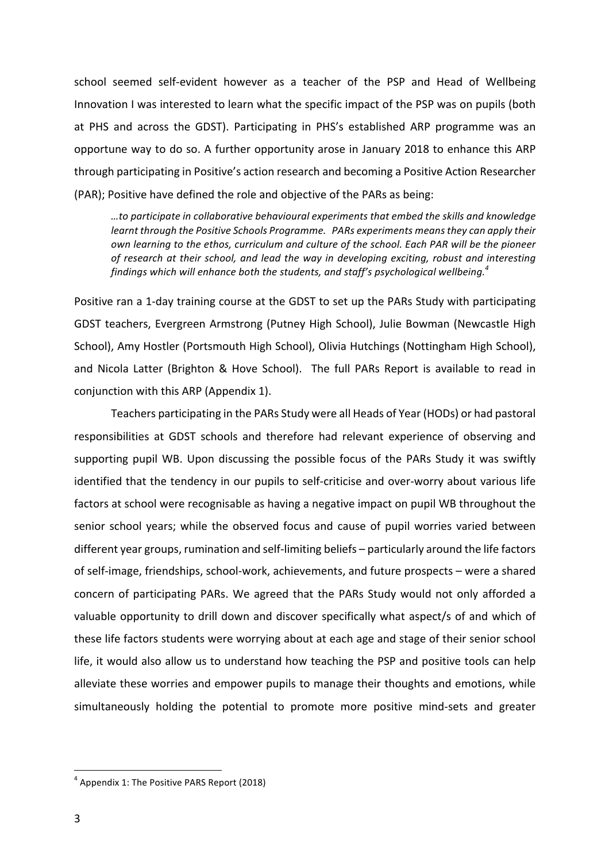school seemed self-evident however as a teacher of the PSP and Head of Wellbeing Innovation I was interested to learn what the specific impact of the PSP was on pupils (both at PHS and across the GDST). Participating in PHS's established ARP programme was an opportune way to do so. A further opportunity arose in January 2018 to enhance this ARP through participating in Positive's action research and becoming a Positive Action Researcher (PAR); Positive have defined the role and objective of the PARs as being:

*…to participate in collaborative behavioural experiments that embed the skills and knowledge learnt through the Positive Schools Programme. PARs experiments means they can apply their own* learning to the ethos, curriculum and culture of the school. Each PAR will be the pioneer of research at their school, and lead the way in developing exciting, robust and interesting findings which will enhance both the students, and staff's psychological wellbeing.<sup>4</sup>

Positive ran a 1-day training course at the GDST to set up the PARs Study with participating GDST teachers, Evergreen Armstrong (Putney High School), Julie Bowman (Newcastle High School), Amy Hostler (Portsmouth High School), Olivia Hutchings (Nottingham High School), and Nicola Latter (Brighton & Hove School). The full PARs Report is available to read in conjunction with this ARP (Appendix 1).

Teachers participating in the PARs Study were all Heads of Year (HODs) or had pastoral responsibilities at GDST schools and therefore had relevant experience of observing and supporting pupil WB. Upon discussing the possible focus of the PARs Study it was swiftly identified that the tendency in our pupils to self-criticise and over-worry about various life factors at school were recognisable as having a negative impact on pupil WB throughout the senior school years; while the observed focus and cause of pupil worries varied between different year groups, rumination and self-limiting beliefs – particularly around the life factors of self-image, friendships, school-work, achievements, and future prospects – were a shared concern of participating PARs. We agreed that the PARs Study would not only afforded a valuable opportunity to drill down and discover specifically what aspect/s of and which of these life factors students were worrying about at each age and stage of their senior school life, it would also allow us to understand how teaching the PSP and positive tools can help alleviate these worries and empower pupils to manage their thoughts and emotions, while simultaneously holding the potential to promote more positive mind-sets and greater

 $4$  Appendix 1: The Positive PARS Report (2018)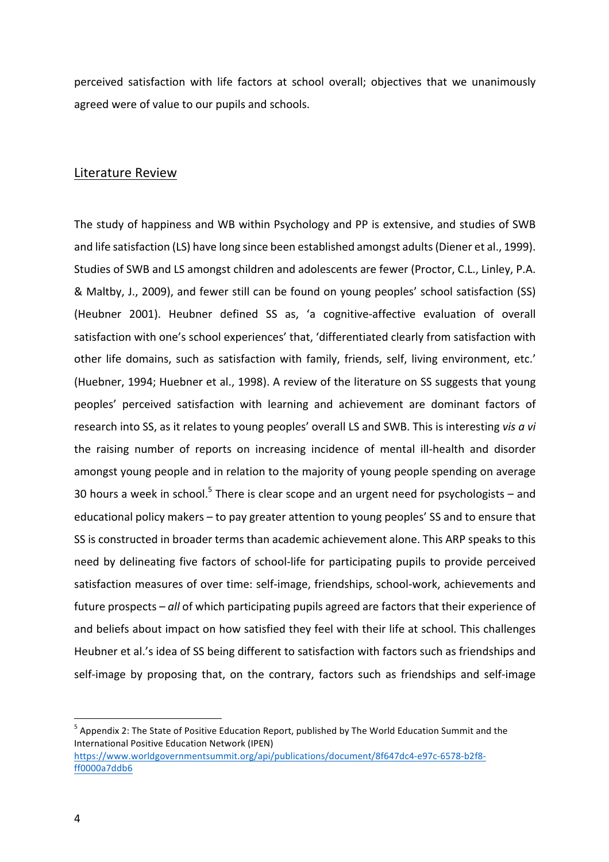perceived satisfaction with life factors at school overall; objectives that we unanimously agreed were of value to our pupils and schools.

## Literature Review

The study of happiness and WB within Psychology and PP is extensive, and studies of SWB and life satisfaction (LS) have long since been established amongst adults (Diener et al., 1999). Studies of SWB and LS amongst children and adolescents are fewer (Proctor, C.L., Linley, P.A. & Maltby, J., 2009), and fewer still can be found on young peoples' school satisfaction (SS) (Heubner 2001). Heubner defined SS as, 'a cognitive-affective evaluation of overall satisfaction with one's school experiences' that, 'differentiated clearly from satisfaction with other life domains, such as satisfaction with family, friends, self, living environment, etc.' (Huebner, 1994; Huebner et al., 1998). A review of the literature on SS suggests that young peoples' perceived satisfaction with learning and achievement are dominant factors of research into SS, as it relates to young peoples' overall LS and SWB. This is interesting *vis a vi* the raising number of reports on increasing incidence of mental ill-health and disorder amongst young people and in relation to the majority of young people spending on average 30 hours a week in school.<sup>5</sup> There is clear scope and an urgent need for psychologists – and educational policy makers – to pay greater attention to young peoples' SS and to ensure that SS is constructed in broader terms than academic achievement alone. This ARP speaks to this need by delineating five factors of school-life for participating pupils to provide perceived satisfaction measures of over time: self-image, friendships, school-work, achievements and future prospects – all of which participating pupils agreed are factors that their experience of and beliefs about impact on how satisfied they feel with their life at school. This challenges Heubner et al.'s idea of SS being different to satisfaction with factors such as friendships and self-image by proposing that, on the contrary, factors such as friendships and self-image

 $<sup>5</sup>$  Appendix 2: The State of Positive Education Report, published by The World Education Summit and the</sup> International Positive Education Network (IPEN)

https://www.worldgovernmentsummit.org/api/publications/document/8f647dc4-e97c-6578-b2f8 ff0000a7ddb6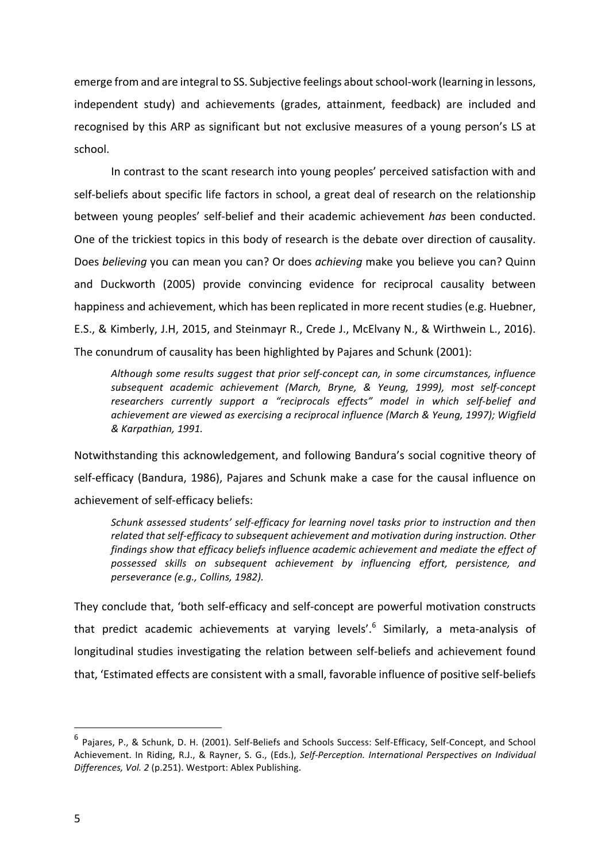emerge from and are integral to SS. Subjective feelings about school-work (learning in lessons, independent study) and achievements (grades, attainment, feedback) are included and recognised by this ARP as significant but not exclusive measures of a young person's LS at school. 

In contrast to the scant research into young peoples' perceived satisfaction with and self-beliefs about specific life factors in school, a great deal of research on the relationship between young peoples' self-belief and their academic achievement *has* been conducted. One of the trickiest topics in this body of research is the debate over direction of causality. Does *believing* you can mean you can? Or does *achieving* make you believe you can? Quinn and Duckworth (2005) provide convincing evidence for reciprocal causality between happiness and achievement, which has been replicated in more recent studies (e.g. Huebner, E.S., & Kimberly, J.H, 2015, and Steinmayr R., Crede J., McElvany N., & Wirthwein L., 2016). The conundrum of causality has been highlighted by Pajares and Schunk (2001):

Although some results suggest that prior self-concept can, in some circumstances, influence *subsequent academic achievement (March, Bryne, & Yeung, 1999), most self-concept*  researchers currently support a "reciprocals effects" model in which self-belief and achievement are viewed as exercising a reciprocal influence (March & Yeung, 1997); Wigfield *& Karpathian, 1991.*

Notwithstanding this acknowledgement, and following Bandura's social cognitive theory of self-efficacy (Bandura, 1986), Pajares and Schunk make a case for the causal influence on achievement of self-efficacy beliefs:

Schunk assessed students' self-efficacy for learning novel tasks prior to instruction and then related that self-efficacy to subsequent achievement and motivation during instruction. Other findings show that efficacy beliefs influence academic achievement and mediate the effect of *possessed skills on subsequent achievement by influencing effort, persistence, and perseverance (e.g., Collins, 1982).*

They conclude that, 'both self-efficacy and self-concept are powerful motivation constructs that predict academic achievements at varying levels'.<sup>6</sup> Similarly, a meta-analysis of longitudinal studies investigating the relation between self-beliefs and achievement found that, 'Estimated effects are consistent with a small, favorable influence of positive self-beliefs

 

 $^6$  Pajares, P., & Schunk, D. H. (2001). Self-Beliefs and Schools Success: Self-Efficacy, Self-Concept, and School Achievement. In Riding, R.J., & Rayner, S. G., (Eds.), Self-Perception. International Perspectives on Individual Differences, Vol. 2 (p.251). Westport: Ablex Publishing.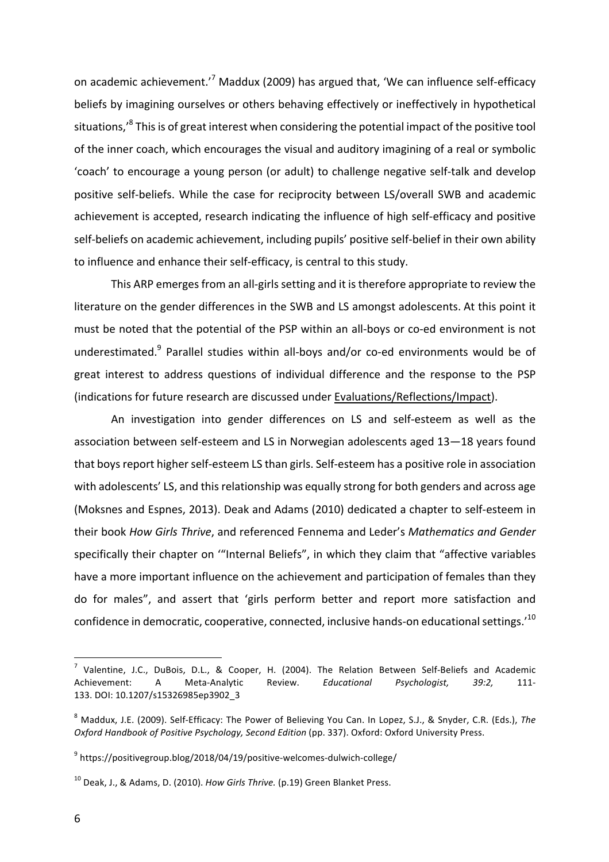on academic achievement.'<sup>7</sup> Maddux (2009) has argued that, 'We can influence self-efficacy beliefs by imagining ourselves or others behaving effectively or ineffectively in hypothetical situations, $^8$  This is of great interest when considering the potential impact of the positive tool of the inner coach, which encourages the visual and auditory imagining of a real or symbolic 'coach' to encourage a young person (or adult) to challenge negative self-talk and develop positive self-beliefs. While the case for reciprocity between LS/overall SWB and academic achievement is accepted, research indicating the influence of high self-efficacy and positive self-beliefs on academic achievement, including pupils' positive self-belief in their own ability to influence and enhance their self-efficacy, is central to this study.

This ARP emerges from an all-girls setting and it is therefore appropriate to review the literature on the gender differences in the SWB and LS amongst adolescents. At this point it must be noted that the potential of the PSP within an all-boys or co-ed environment is not underestimated.<sup>9</sup> Parallel studies within all-boys and/or co-ed environments would be of great interest to address questions of individual difference and the response to the PSP (indications for future research are discussed under Evaluations/Reflections/Impact).

An investigation into gender differences on LS and self-esteem as well as the association between self-esteem and LS in Norwegian adolescents aged 13-18 years found that boys report higher self-esteem LS than girls. Self-esteem has a positive role in association with adolescents' LS, and this relationship was equally strong for both genders and across age (Moksnes and Espnes, 2013). Deak and Adams (2010) dedicated a chapter to self-esteem in their book *How Girls Thrive*, and referenced Fennema and Leder's *Mathematics and Gender* specifically their chapter on "Internal Beliefs", in which they claim that "affective variables have a more important influence on the achievement and participation of females than they do for males", and assert that 'girls perform better and report more satisfaction and confidence in democratic, cooperative, connected, inclusive hands-on educational settings.'<sup>10</sup>

 $^7$  Valentine, J.C., DuBois, D.L., & Cooper, H. (2004). The Relation Between Self-Beliefs and Academic Achievement: A Meta-Analytic Review. *Educational Psychologist, 39:2,* 111- 133. DOI: 10.1207/s15326985ep3902\_3

<sup>&</sup>lt;sup>8</sup> Maddux, J.E. (2009). Self-Efficacy: The Power of Believing You Can. In Lopez, S.J., & Snyder, C.R. (Eds.), The *Oxford Handbook of Positive Psychology, Second Edition* (pp. 337). Oxford: Oxford University Press.

 $9$  https://positivegroup.blog/2018/04/19/positive-welcomes-dulwich-college/

<sup>&</sup>lt;sup>10</sup> Deak, J., & Adams, D. (2010). *How Girls Thrive.* (p.19) Green Blanket Press.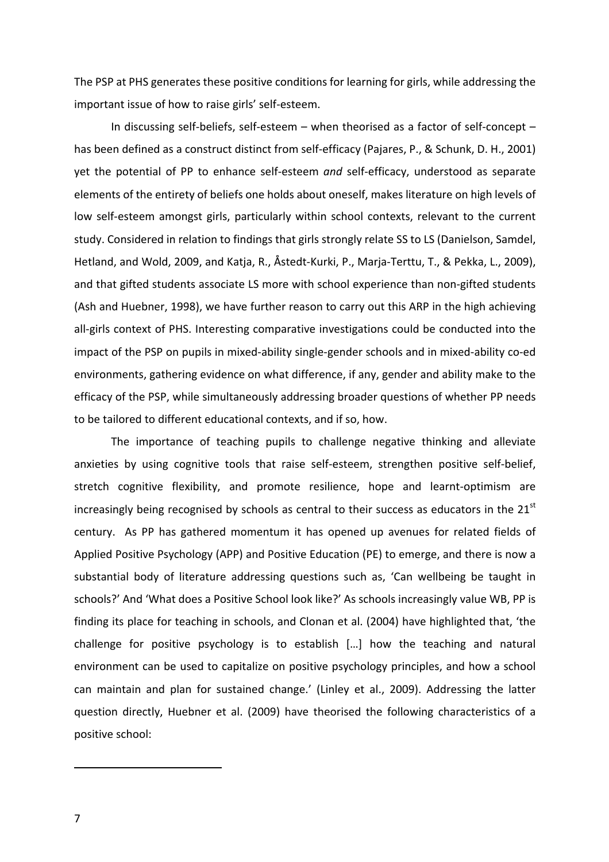The PSP at PHS generates these positive conditions for learning for girls, while addressing the important issue of how to raise girls' self-esteem.

In discussing self-beliefs, self-esteem  $-$  when theorised as a factor of self-concept  $$ has been defined as a construct distinct from self-efficacy (Pajares, P., & Schunk, D. H., 2001) yet the potential of PP to enhance self-esteem *and* self-efficacy, understood as separate elements of the entirety of beliefs one holds about oneself, makes literature on high levels of low self-esteem amongst girls, particularly within school contexts, relevant to the current study. Considered in relation to findings that girls strongly relate SS to LS (Danielson, Samdel, Hetland, and Wold, 2009, and Katja, R., Åstedt-Kurki, P., Marja-Terttu, T., & Pekka, L., 2009), and that gifted students associate LS more with school experience than non-gifted students (Ash and Huebner, 1998), we have further reason to carry out this ARP in the high achieving all-girls context of PHS. Interesting comparative investigations could be conducted into the impact of the PSP on pupils in mixed-ability single-gender schools and in mixed-ability co-ed environments, gathering evidence on what difference, if any, gender and ability make to the efficacy of the PSP, while simultaneously addressing broader questions of whether PP needs to be tailored to different educational contexts, and if so, how.

The importance of teaching pupils to challenge negative thinking and alleviate anxieties by using cognitive tools that raise self-esteem, strengthen positive self-belief, stretch cognitive flexibility, and promote resilience, hope and learnt-optimism are increasingly being recognised by schools as central to their success as educators in the  $21<sup>st</sup>$ century. As PP has gathered momentum it has opened up avenues for related fields of Applied Positive Psychology (APP) and Positive Education (PE) to emerge, and there is now a substantial body of literature addressing questions such as, 'Can wellbeing be taught in schools?' And 'What does a Positive School look like?' As schools increasingly value WB, PP is finding its place for teaching in schools, and Clonan et al. (2004) have highlighted that, 'the challenge for positive psychology is to establish  $[...]$  how the teaching and natural environment can be used to capitalize on positive psychology principles, and how a school can maintain and plan for sustained change.' (Linley et al., 2009). Addressing the latter question directly, Huebner et al. (2009) have theorised the following characteristics of a positive school: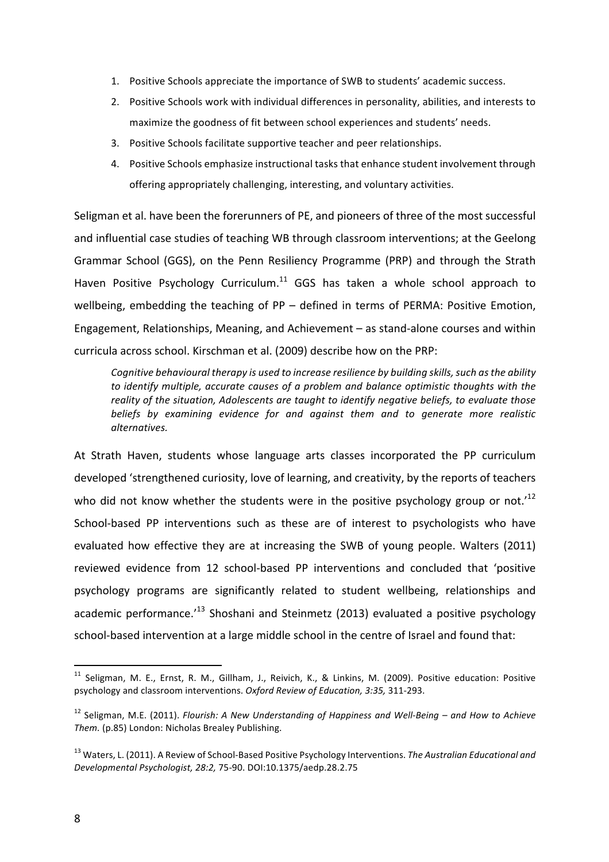- 1. Positive Schools appreciate the importance of SWB to students' academic success.
- 2. Positive Schools work with individual differences in personality, abilities, and interests to maximize the goodness of fit between school experiences and students' needs.
- 3. Positive Schools facilitate supportive teacher and peer relationships.
- 4. Positive Schools emphasize instructional tasks that enhance student involvement through offering appropriately challenging, interesting, and voluntary activities.

Seligman et al. have been the forerunners of PE, and pioneers of three of the most successful and influential case studies of teaching WB through classroom interventions; at the Geelong Grammar School (GGS), on the Penn Resiliency Programme (PRP) and through the Strath Haven Positive Psychology Curriculum.<sup>11</sup> GGS has taken a whole school approach to wellbeing, embedding the teaching of  $PP$  – defined in terms of PERMA: Positive Emotion, Engagement, Relationships, Meaning, and Achievement  $-$  as stand-alone courses and within curricula across school. Kirschman et al. (2009) describe how on the PRP:

Cognitive behavioural therapy is used to increase resilience by building skills, such as the ability to *identify* multiple, accurate causes of a problem and balance optimistic thoughts with the reality of the situation, Adolescents are taught to identify negative beliefs, to evaluate those beliefs by examining evidence for and against them and to generate more realistic *alternatives.* 

At Strath Haven, students whose language arts classes incorporated the PP curriculum developed 'strengthened curiosity, love of learning, and creativity, by the reports of teachers who did not know whether the students were in the positive psychology group or not.<sup>12</sup> School-based PP interventions such as these are of interest to psychologists who have evaluated how effective they are at increasing the SWB of young people. Walters (2011) reviewed evidence from 12 school-based PP interventions and concluded that 'positive psychology programs are significantly related to student wellbeing, relationships and academic performance.<sup>13</sup> Shoshani and Steinmetz (2013) evaluated a positive psychology school-based intervention at a large middle school in the centre of Israel and found that:

 $11$  Seligman, M. E., Ernst, R. M., Gillham, J., Reivich, K., & Linkins, M. (2009). Positive education: Positive psychology and classroom interventions. Oxford Review of Education, 3:35, 311-293.

<sup>&</sup>lt;sup>12</sup> Seligman, M.E. (2011). *Flourish: A New Understanding of Happiness and Well-Being* – and How to Achieve *Them.* (p.85) London: Nicholas Brealey Publishing.

<sup>&</sup>lt;sup>13</sup> Waters, L. (2011). A Review of School-Based Positive Psychology Interventions. *The Australian Educational and Developmental Psychologist, 28:2,* 75-90. DOI:10.1375/aedp.28.2.75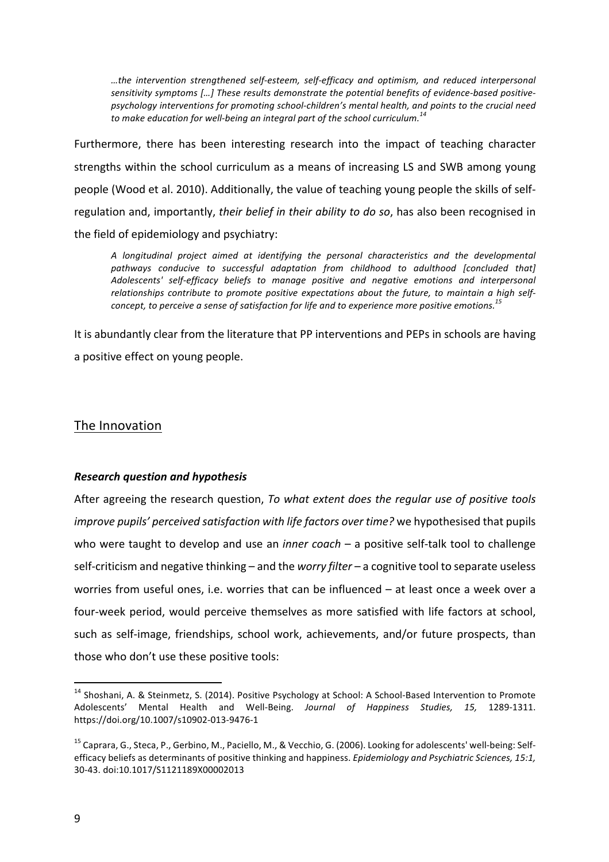*…the intervention strengthened self-esteem, self-efficacy and optimism, and reduced interpersonal*  sensitivity symptoms [...] These results demonstrate the potential benefits of evidence-based positivepsychology interventions for promoting school-children's mental health, and points to the crucial need to make education for well-being an integral part of the school curriculum.<sup>14</sup>

Furthermore, there has been interesting research into the impact of teaching character strengths within the school curriculum as a means of increasing LS and SWB among young people (Wood et al. 2010). Additionally, the value of teaching young people the skills of selfregulation and, importantly, *their belief in their ability to do so*, has also been recognised in the field of epidemiology and psychiatry:

*A longitudinal project aimed at identifying the personal characteristics and the developmental*  pathways conducive to successful adaptation from childhood to adulthood [concluded that] *Adolescents' self-efficacy beliefs to manage positive and negative emotions and interpersonal*  relationships contribute to promote positive expectations about the future, to maintain a high self*concept, to perceive a sense of satisfaction for life and to experience more positive emotions.*<sup>15</sup>

It is abundantly clear from the literature that PP interventions and PEPs in schools are having a positive effect on young people.

## The Innovation

## *Research question and hypothesis*

After agreeing the research question, *To what extent does the regular use of positive tools improve pupils' perceived satisfaction with life factors over time?* we hypothesised that pupils who were taught to develop and use an *inner coach* – a positive self-talk tool to challenge self-criticism and negative thinking – and the *worry filter* – a cognitive tool to separate useless worries from useful ones, i.e. worries that can be influenced – at least once a week over a four-week period, would perceive themselves as more satisfied with life factors at school, such as self-image, friendships, school work, achievements, and/or future prospects, than those who don't use these positive tools:

<sup>&</sup>lt;sup>14</sup> Shoshani, A. & Steinmetz, S. (2014). Positive Psychology at School: A School-Based Intervention to Promote Adolescents' Mental Health and Well-Being. *Journal of Happiness Studies, 15,*  1289-1311. https://doi.org/10.1007/s10902-013-9476-1

<sup>&</sup>lt;sup>15</sup> Caprara, G., Steca, P., Gerbino, M., Paciello, M., & Vecchio, G. (2006). Looking for adolescents' well-being: Selfefficacy beliefs as determinants of positive thinking and happiness. *Epidemiology and Psychiatric Sciences, 15:1*, 30-43. doi:10.1017/S1121189X00002013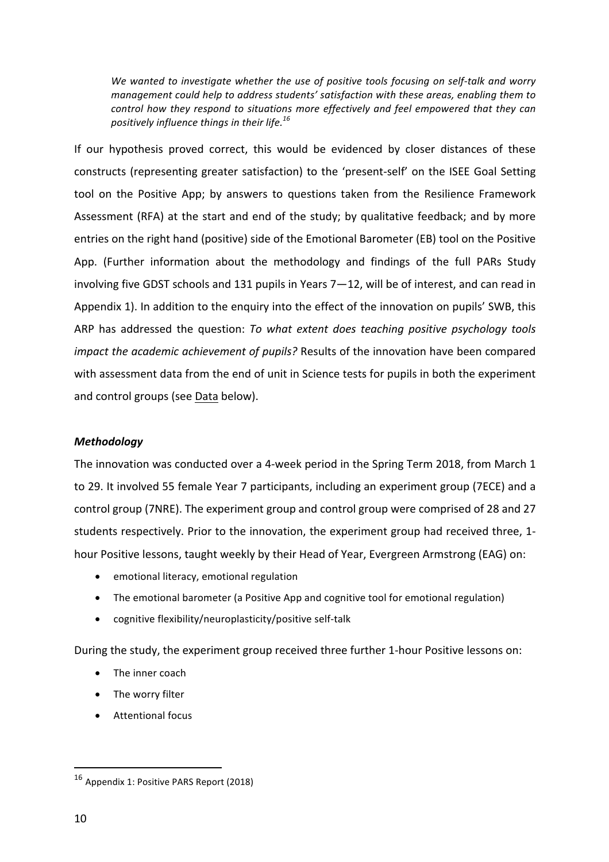We wanted to investigate whether the use of positive tools focusing on self-talk and worry *management could help to address students' satisfaction with these areas, enabling them to control how they respond to situations more effectively and feel empowered that they can positively influence things in their life.<sup>16</sup>*

If our hypothesis proved correct, this would be evidenced by closer distances of these constructs (representing greater satisfaction) to the 'present-self' on the ISEE Goal Setting tool on the Positive App; by answers to questions taken from the Resilience Framework Assessment (RFA) at the start and end of the study; by qualitative feedback; and by more entries on the right hand (positive) side of the Emotional Barometer (EB) tool on the Positive App. (Further information about the methodology and findings of the full PARs Study involving five GDST schools and 131 pupils in Years  $7-12$ , will be of interest, and can read in Appendix 1). In addition to the enquiry into the effect of the innovation on pupils' SWB, this ARP has addressed the question: *To what extent does teaching positive psychology tools impact the academic achievement of pupils?* Results of the innovation have been compared with assessment data from the end of unit in Science tests for pupils in both the experiment and control groups (see Data below).

## *Methodology*

The innovation was conducted over a 4-week period in the Spring Term 2018, from March 1 to 29. It involved 55 female Year 7 participants, including an experiment group (7ECE) and a control group (7NRE). The experiment group and control group were comprised of 28 and 27 students respectively. Prior to the innovation, the experiment group had received three, 1hour Positive lessons, taught weekly by their Head of Year, Evergreen Armstrong (EAG) on:

- emotional literacy, emotional regulation
- The emotional barometer (a Positive App and cognitive tool for emotional regulation)
- $\bullet$  cognitive flexibility/neuroplasticity/positive self-talk

During the study, the experiment group received three further 1-hour Positive lessons on:

- The inner coach
- The worry filter
- Attentional focus

 

<sup>&</sup>lt;sup>16</sup> Appendix 1: Positive PARS Report (2018)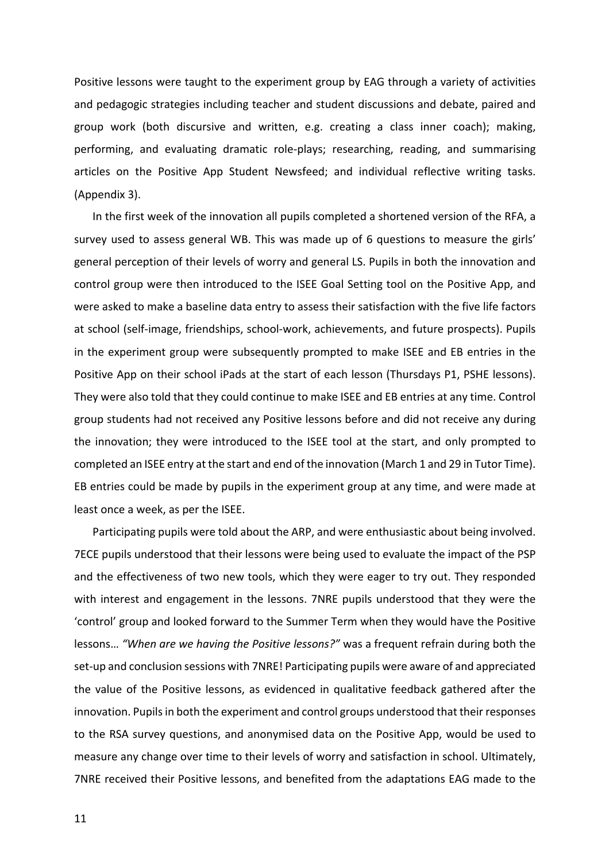Positive lessons were taught to the experiment group by EAG through a variety of activities and pedagogic strategies including teacher and student discussions and debate, paired and group work (both discursive and written, e.g. creating a class inner coach); making, performing, and evaluating dramatic role-plays; researching, reading, and summarising articles on the Positive App Student Newsfeed; and individual reflective writing tasks. (Appendix 3).

In the first week of the innovation all pupils completed a shortened version of the RFA, a survey used to assess general WB. This was made up of 6 questions to measure the girls' general perception of their levels of worry and general LS. Pupils in both the innovation and control group were then introduced to the ISEE Goal Setting tool on the Positive App, and were asked to make a baseline data entry to assess their satisfaction with the five life factors at school (self-image, friendships, school-work, achievements, and future prospects). Pupils in the experiment group were subsequently prompted to make ISEE and EB entries in the Positive App on their school iPads at the start of each lesson (Thursdays P1, PSHE lessons). They were also told that they could continue to make ISEE and EB entries at any time. Control group students had not received any Positive lessons before and did not receive any during the innovation; they were introduced to the ISEE tool at the start, and only prompted to completed an ISEE entry at the start and end of the innovation (March 1 and 29 in Tutor Time). EB entries could be made by pupils in the experiment group at any time, and were made at least once a week, as per the ISEE.

Participating pupils were told about the ARP, and were enthusiastic about being involved. 7ECE pupils understood that their lessons were being used to evaluate the impact of the PSP and the effectiveness of two new tools, which they were eager to try out. They responded with interest and engagement in the lessons. 7NRE pupils understood that they were the 'control' group and looked forward to the Summer Term when they would have the Positive lessons... "When are we having the Positive lessons?" was a frequent refrain during both the set-up and conclusion sessions with 7NRE! Participating pupils were aware of and appreciated the value of the Positive lessons, as evidenced in qualitative feedback gathered after the innovation. Pupils in both the experiment and control groups understood that their responses to the RSA survey questions, and anonymised data on the Positive App, would be used to measure any change over time to their levels of worry and satisfaction in school. Ultimately, 7NRE received their Positive lessons, and benefited from the adaptations EAG made to the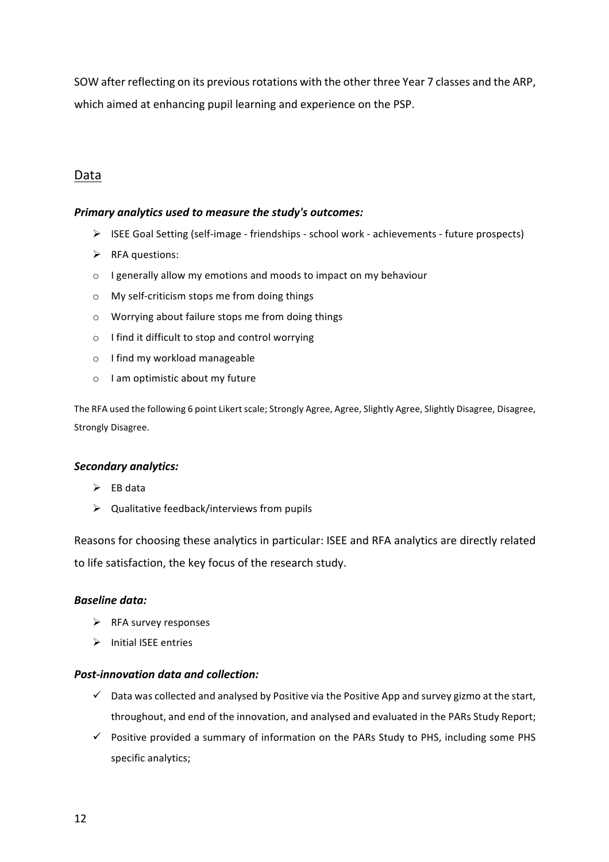SOW after reflecting on its previous rotations with the other three Year 7 classes and the ARP, which aimed at enhancing pupil learning and experience on the PSP.

# Data

### *Primary analytics used to measure the study's outcomes:*

- $\triangleright$  ISEE Goal Setting (self-image friendships school work achievements future prospects)
- $\triangleright$  RFA questions:
- $\circ$  I generally allow my emotions and moods to impact on my behaviour
- o My self-criticism stops me from doing things
- $\circ$  Worrying about failure stops me from doing things
- $\circ$  I find it difficult to stop and control worrying
- o I find my workload manageable
- $\circ$  I am optimistic about my future

The RFA used the following 6 point Likert scale; Strongly Agree, Agree, Slightly Agree, Slightly Disagree, Disagree, Strongly Disagree.

#### *Secondary analytics:*

- $\triangleright$  EB data
- $\triangleright$  Qualitative feedback/interviews from pupils

Reasons for choosing these analytics in particular: ISEE and RFA analytics are directly related to life satisfaction, the key focus of the research study.

#### *Baseline data:*

- $\triangleright$  RFA survey responses
- $\triangleright$  Initial ISEE entries

#### *Post-innovation data and collection:*

- $\checkmark$  Data was collected and analysed by Positive via the Positive App and survey gizmo at the start, throughout, and end of the innovation, and analysed and evaluated in the PARs Study Report;
- $\checkmark$  Positive provided a summary of information on the PARs Study to PHS, including some PHS specific analytics: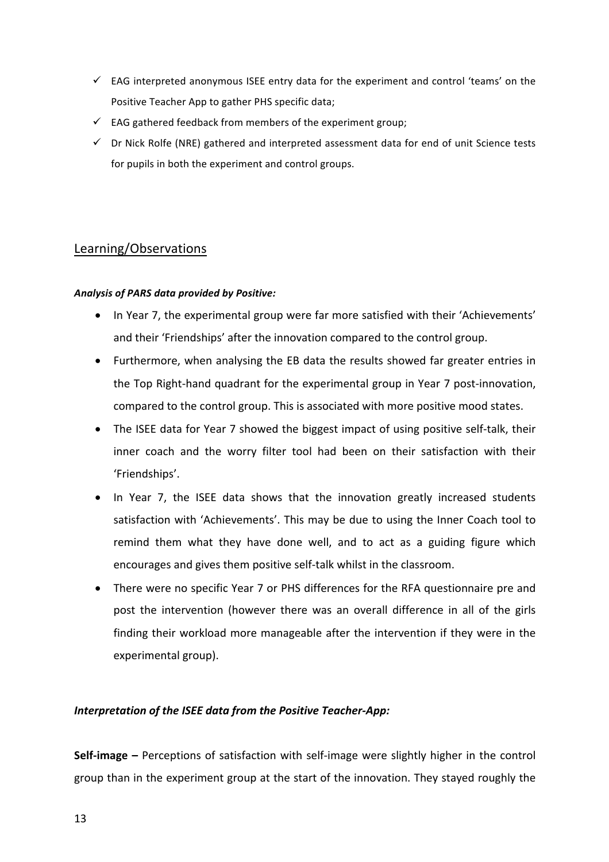- $\checkmark$  EAG interpreted anonymous ISEE entry data for the experiment and control 'teams' on the Positive Teacher App to gather PHS specific data;
- $\checkmark$  EAG gathered feedback from members of the experiment group;
- $\checkmark$  Dr Nick Rolfe (NRE) gathered and interpreted assessment data for end of unit Science tests for pupils in both the experiment and control groups.

# Learning/Observations

### *Analysis of PARS data provided by Positive:*

- In Year 7, the experimental group were far more satisfied with their 'Achievements' and their 'Friendships' after the innovation compared to the control group.
- Furthermore, when analysing the EB data the results showed far greater entries in the Top Right-hand quadrant for the experimental group in Year 7 post-innovation, compared to the control group. This is associated with more positive mood states.
- The ISEE data for Year 7 showed the biggest impact of using positive self-talk, their inner coach and the worry filter tool had been on their satisfaction with their 'Friendships'.
- In Year 7, the ISEE data shows that the innovation greatly increased students satisfaction with 'Achievements'. This may be due to using the Inner Coach tool to remind them what they have done well, and to act as a guiding figure which encourages and gives them positive self-talk whilst in the classroom.
- There were no specific Year 7 or PHS differences for the RFA questionnaire pre and post the intervention (however there was an overall difference in all of the girls finding their workload more manageable after the intervention if they were in the experimental group).

## **Interpretation of the ISEE data from the Positive Teacher-App:**

**Self-image** – Perceptions of satisfaction with self-image were slightly higher in the control group than in the experiment group at the start of the innovation. They stayed roughly the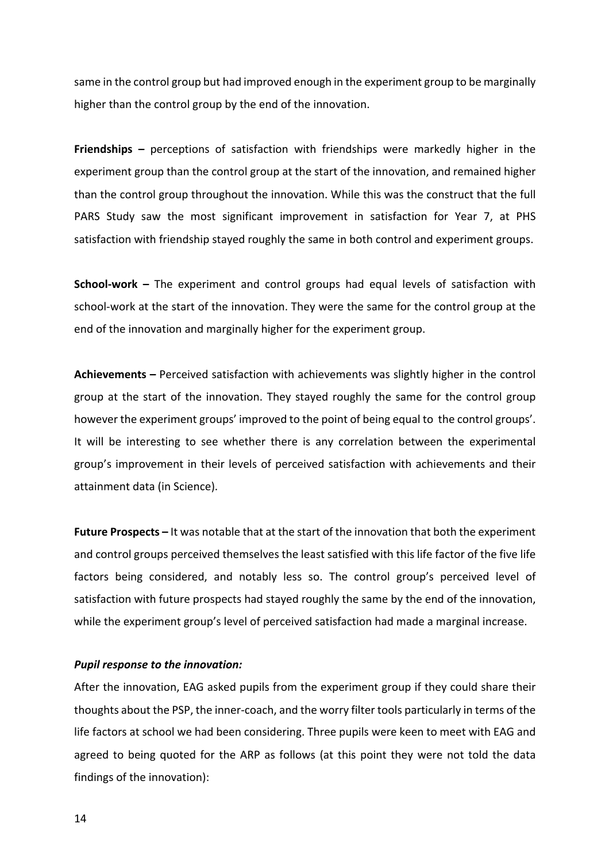same in the control group but had improved enough in the experiment group to be marginally higher than the control group by the end of the innovation.

**Friendships** – perceptions of satisfaction with friendships were markedly higher in the experiment group than the control group at the start of the innovation, and remained higher than the control group throughout the innovation. While this was the construct that the full PARS Study saw the most significant improvement in satisfaction for Year 7, at PHS satisfaction with friendship stayed roughly the same in both control and experiment groups.

**School-work** – The experiment and control groups had equal levels of satisfaction with school-work at the start of the innovation. They were the same for the control group at the end of the innovation and marginally higher for the experiment group.

**Achievements** – Perceived satisfaction with achievements was slightly higher in the control group at the start of the innovation. They stayed roughly the same for the control group however the experiment groups' improved to the point of being equal to the control groups'. It will be interesting to see whether there is any correlation between the experimental group's improvement in their levels of perceived satisfaction with achievements and their attainment data (in Science).

**Future Prospects** – It was notable that at the start of the innovation that both the experiment and control groups perceived themselves the least satisfied with this life factor of the five life factors being considered, and notably less so. The control group's perceived level of satisfaction with future prospects had stayed roughly the same by the end of the innovation, while the experiment group's level of perceived satisfaction had made a marginal increase.

#### **Pupil response to the innovation:**

After the innovation, EAG asked pupils from the experiment group if they could share their thoughts about the PSP, the inner-coach, and the worry filter tools particularly in terms of the life factors at school we had been considering. Three pupils were keen to meet with EAG and agreed to being quoted for the ARP as follows (at this point they were not told the data findings of the innovation):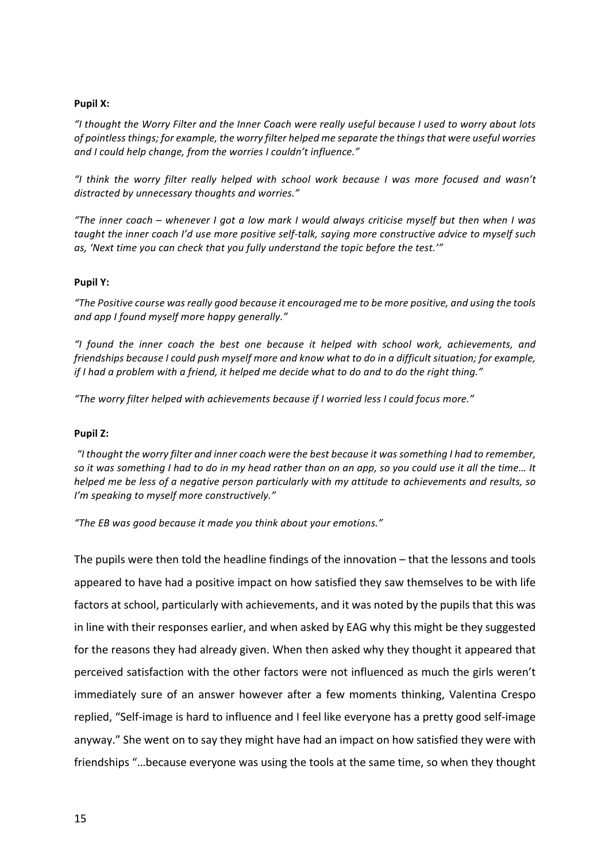#### **Pupil X:**

"I thought the Worry Filter and the Inner Coach were really useful because I used to worry about lots *of pointless things; for example, the worry filter helped me separate the things that were useful worries* and I could help change, from the worries I couldn't influence."

*"I think the worry filter really helped with school work because I was more focused and wasn't*  distracted by unnecessary thoughts and worries."

*"The inner coach* – whenever I got a low mark I would always criticise myself but then when I was taught the inner coach I'd use more positive self-talk, saying more constructive advice to myself such as, 'Next time you can check that you fully understand the topic before the test.'"

#### **Pupil Y:**

*"The Positive course was really good because it encouraged me to be more positive, and using the tools*  and app I found myself more happy generally."

*"I found the inner coach the best one because it helped with school work, achievements, and friendships* because *I* could push myself more and know what to do in a difficult situation; for example, *if* I had a problem with a friend, it helped me decide what to do and to do the right thing."

"The worry filter helped with achievements because if I worried less I could focus more."

#### **Pupil Z:**

"I thought the worry filter and inner coach were the best because it was something I had to remember, so it was something I had to do in my head rather than on an app, so you could use it all the time... It *helped* me be less of a negative person particularly with my attitude to achievements and results, so *I'm speaking to myself more constructively."* 

*"The EB was good because it made you think about your emotions."*

The pupils were then told the headline findings of the innovation  $-$  that the lessons and tools appeared to have had a positive impact on how satisfied they saw themselves to be with life factors at school, particularly with achievements, and it was noted by the pupils that this was in line with their responses earlier, and when asked by EAG why this might be they suggested for the reasons they had already given. When then asked why they thought it appeared that perceived satisfaction with the other factors were not influenced as much the girls weren't immediately sure of an answer however after a few moments thinking, Valentina Crespo replied, "Self-image is hard to influence and I feel like everyone has a pretty good self-image anyway." She went on to say they might have had an impact on how satisfied they were with friendships "...because everyone was using the tools at the same time, so when they thought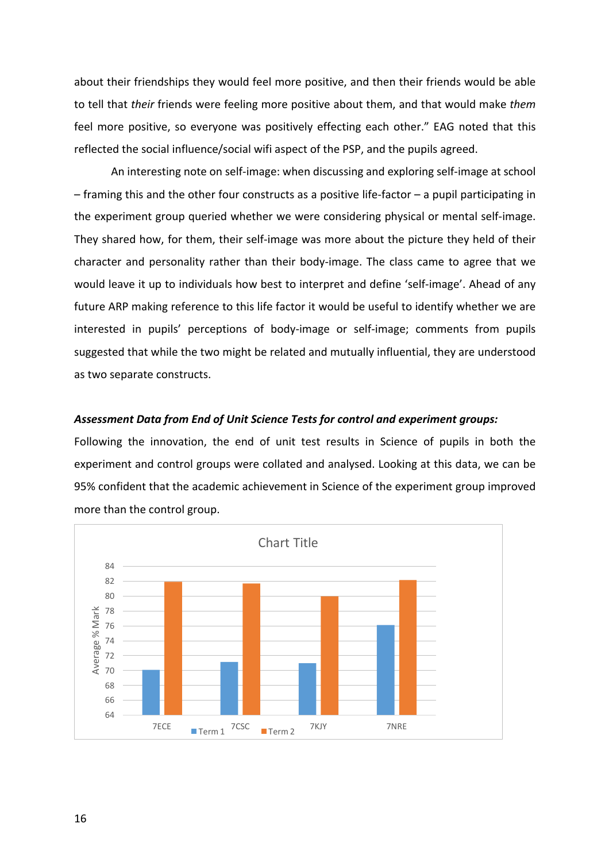about their friendships they would feel more positive, and then their friends would be able to tell that *their* friends were feeling more positive about them, and that would make them feel more positive, so everyone was positively effecting each other." EAG noted that this reflected the social influence/social wifi aspect of the PSP, and the pupils agreed.

An interesting note on self-image: when discussing and exploring self-image at school  $-$  framing this and the other four constructs as a positive life-factor  $-$  a pupil participating in the experiment group queried whether we were considering physical or mental self-image. They shared how, for them, their self-image was more about the picture they held of their character and personality rather than their body-image. The class came to agree that we would leave it up to individuals how best to interpret and define 'self-image'. Ahead of any future ARP making reference to this life factor it would be useful to identify whether we are interested in pupils' perceptions of body-image or self-image; comments from pupils suggested that while the two might be related and mutually influential, they are understood as two separate constructs.

#### Assessment Data from End of Unit Science Tests for control and experiment groups:

Following the innovation, the end of unit test results in Science of pupils in both the experiment and control groups were collated and analysed. Looking at this data, we can be 95% confident that the academic achievement in Science of the experiment group improved more than the control group.

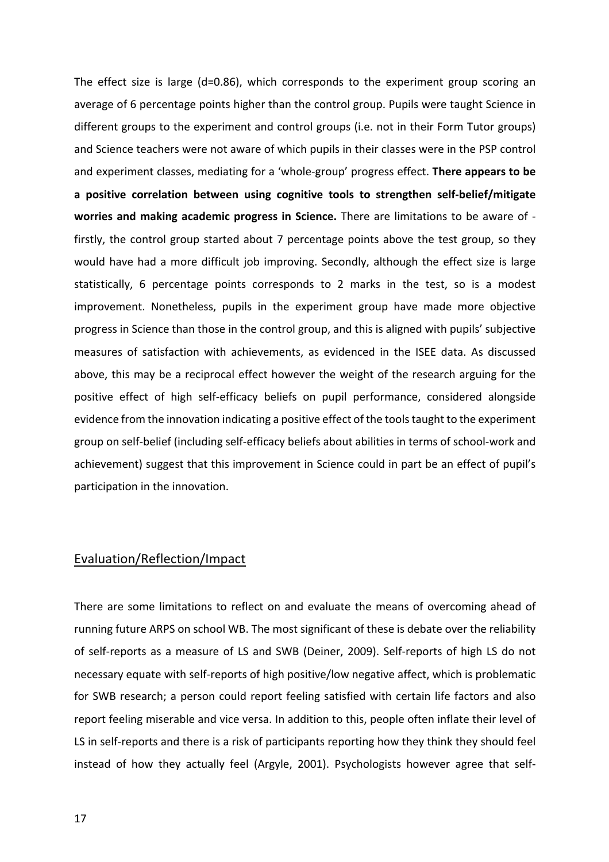The effect size is large  $(d=0.86)$ , which corresponds to the experiment group scoring an average of 6 percentage points higher than the control group. Pupils were taught Science in different groups to the experiment and control groups (i.e. not in their Form Tutor groups) and Science teachers were not aware of which pupils in their classes were in the PSP control and experiment classes, mediating for a 'whole-group' progress effect. **There appears to be a positive correlation between using cognitive tools to strengthen self-belief/mitigate**  worries and making academic progress in Science. There are limitations to be aware of firstly, the control group started about 7 percentage points above the test group, so they would have had a more difficult job improving. Secondly, although the effect size is large statistically, 6 percentage points corresponds to 2 marks in the test, so is a modest improvement. Nonetheless, pupils in the experiment group have made more objective progress in Science than those in the control group, and this is aligned with pupils' subjective measures of satisfaction with achievements, as evidenced in the ISEE data. As discussed above, this may be a reciprocal effect however the weight of the research arguing for the positive effect of high self-efficacy beliefs on pupil performance, considered alongside evidence from the innovation indicating a positive effect of the tools taught to the experiment group on self-belief (including self-efficacy beliefs about abilities in terms of school-work and achievement) suggest that this improvement in Science could in part be an effect of pupil's participation in the innovation.

# Evaluation/Reflection/Impact

There are some limitations to reflect on and evaluate the means of overcoming ahead of running future ARPS on school WB. The most significant of these is debate over the reliability of self-reports as a measure of LS and SWB (Deiner, 2009). Self-reports of high LS do not necessary equate with self-reports of high positive/low negative affect, which is problematic for SWB research; a person could report feeling satisfied with certain life factors and also report feeling miserable and vice versa. In addition to this, people often inflate their level of LS in self-reports and there is a risk of participants reporting how they think they should feel instead of how they actually feel (Argyle, 2001). Psychologists however agree that self-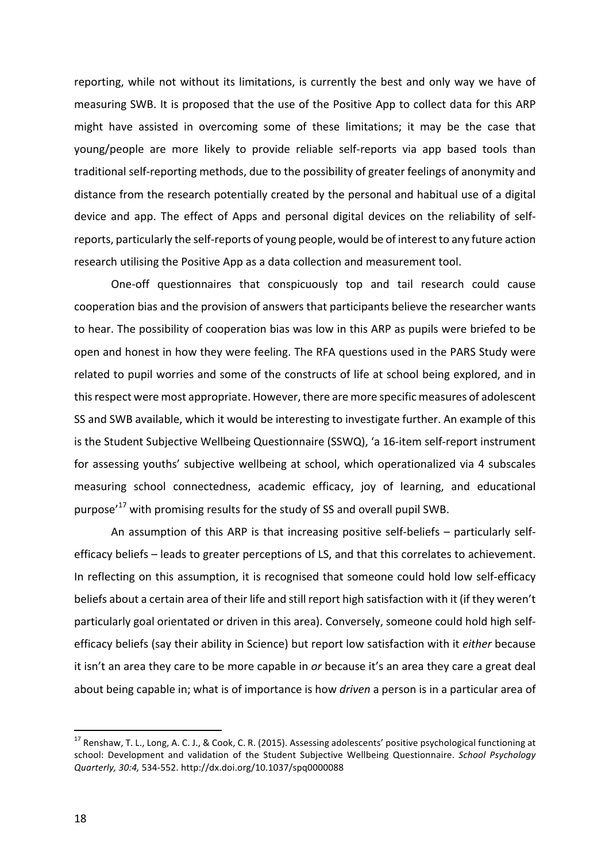reporting, while not without its limitations, is currently the best and only way we have of measuring SWB. It is proposed that the use of the Positive App to collect data for this ARP might have assisted in overcoming some of these limitations; it may be the case that young/people are more likely to provide reliable self-reports via app based tools than traditional self-reporting methods, due to the possibility of greater feelings of anonymity and distance from the research potentially created by the personal and habitual use of a digital device and app. The effect of Apps and personal digital devices on the reliability of selfreports, particularly the self-reports of young people, would be of interest to any future action research utilising the Positive App as a data collection and measurement tool.

One-off questionnaires that conspicuously top and tail research could cause cooperation bias and the provision of answers that participants believe the researcher wants to hear. The possibility of cooperation bias was low in this ARP as pupils were briefed to be open and honest in how they were feeling. The RFA questions used in the PARS Study were related to pupil worries and some of the constructs of life at school being explored, and in this respect were most appropriate. However, there are more specific measures of adolescent SS and SWB available, which it would be interesting to investigate further. An example of this is the Student Subjective Wellbeing Questionnaire (SSWQ), 'a 16-item self-report instrument for assessing youths' subjective wellbeing at school, which operationalized via 4 subscales measuring school connectedness, academic efficacy, joy of learning, and educational purpose<sup>'17</sup> with promising results for the study of SS and overall pupil SWB.

An assumption of this ARP is that increasing positive self-beliefs  $-$  particularly selfefficacy beliefs – leads to greater perceptions of LS, and that this correlates to achievement. In reflecting on this assumption, it is recognised that someone could hold low self-efficacy beliefs about a certain area of their life and still report high satisfaction with it (if they weren't particularly goal orientated or driven in this area). Conversely, someone could hold high selfefficacy beliefs (say their ability in Science) but report low satisfaction with it *either* because it isn't an area they care to be more capable in *or* because it's an area they care a great deal about being capable in; what is of importance is how *driven* a person is in a particular area of

 $17$  Renshaw, T. L., Long, A. C. J., & Cook, C. R. (2015). Assessing adolescents' positive psychological functioning at school: Development and validation of the Student Subjective Wellbeing Questionnaire. *School Psychology Quarterly, 30:4,* 534-552. http://dx.doi.org/10.1037/spq0000088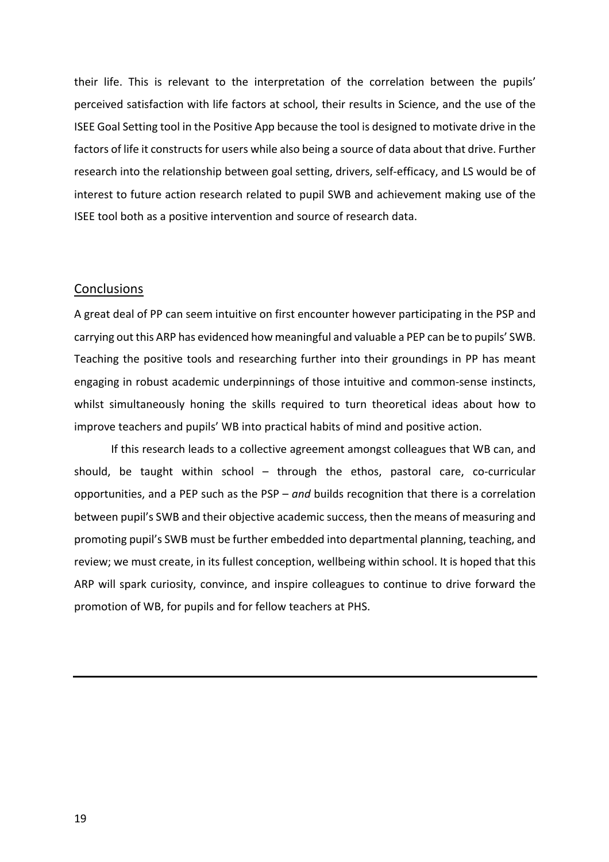their life. This is relevant to the interpretation of the correlation between the pupils' perceived satisfaction with life factors at school, their results in Science, and the use of the ISEE Goal Setting tool in the Positive App because the tool is designed to motivate drive in the factors of life it constructs for users while also being a source of data about that drive. Further research into the relationship between goal setting, drivers, self-efficacy, and LS would be of interest to future action research related to pupil SWB and achievement making use of the ISEE tool both as a positive intervention and source of research data.

#### **Conclusions**

A great deal of PP can seem intuitive on first encounter however participating in the PSP and carrying out this ARP has evidenced how meaningful and valuable a PEP can be to pupils' SWB. Teaching the positive tools and researching further into their groundings in PP has meant engaging in robust academic underpinnings of those intuitive and common-sense instincts, whilst simultaneously honing the skills required to turn theoretical ideas about how to improve teachers and pupils' WB into practical habits of mind and positive action.

If this research leads to a collective agreement amongst colleagues that WB can, and should, be taught within school  $-$  through the ethos, pastoral care, co-curricular opportunities, and a PEP such as the PSP – and builds recognition that there is a correlation between pupil's SWB and their objective academic success, then the means of measuring and promoting pupil's SWB must be further embedded into departmental planning, teaching, and review; we must create, in its fullest conception, wellbeing within school. It is hoped that this ARP will spark curiosity, convince, and inspire colleagues to continue to drive forward the promotion of WB, for pupils and for fellow teachers at PHS.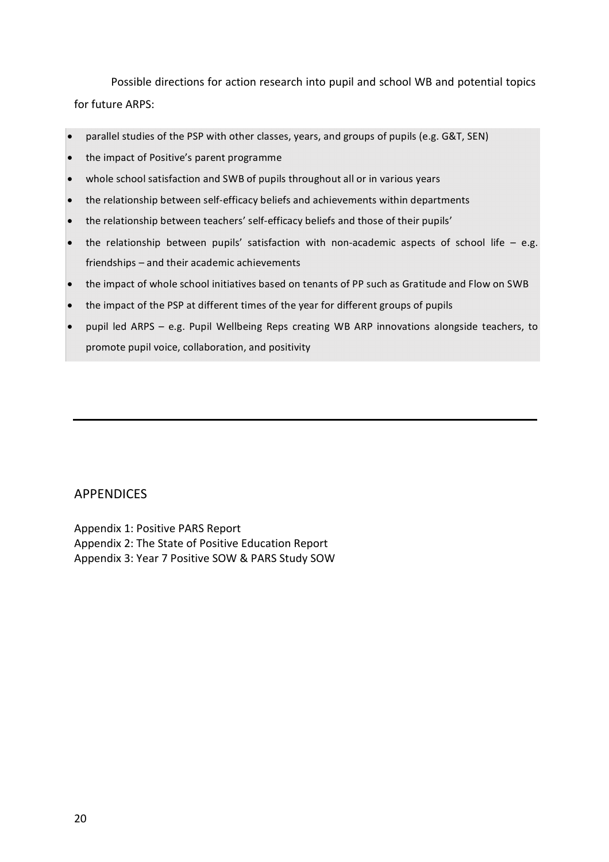Possible directions for action research into pupil and school WB and potential topics for future ARPS:

- parallel studies of the PSP with other classes, years, and groups of pupils (e.g. G&T, SEN)
- the impact of Positive's parent programme
- whole school satisfaction and SWB of pupils throughout all or in various years
- the relationship between self-efficacy beliefs and achievements within departments
- the relationship between teachers' self-efficacy beliefs and those of their pupils'
- the relationship between pupils' satisfaction with non-academic aspects of school life  $-$  e.g. friendships - and their academic achievements
- the impact of whole school initiatives based on tenants of PP such as Gratitude and Flow on SWB
- the impact of the PSP at different times of the year for different groups of pupils
- pupil led ARPS e.g. Pupil Wellbeing Reps creating WB ARP innovations alongside teachers, to promote pupil voice, collaboration, and positivity

## APPENDICES

Appendix 1: Positive PARS Report Appendix 2: The State of Positive Education Report Appendix 3: Year 7 Positive SOW & PARS Study SOW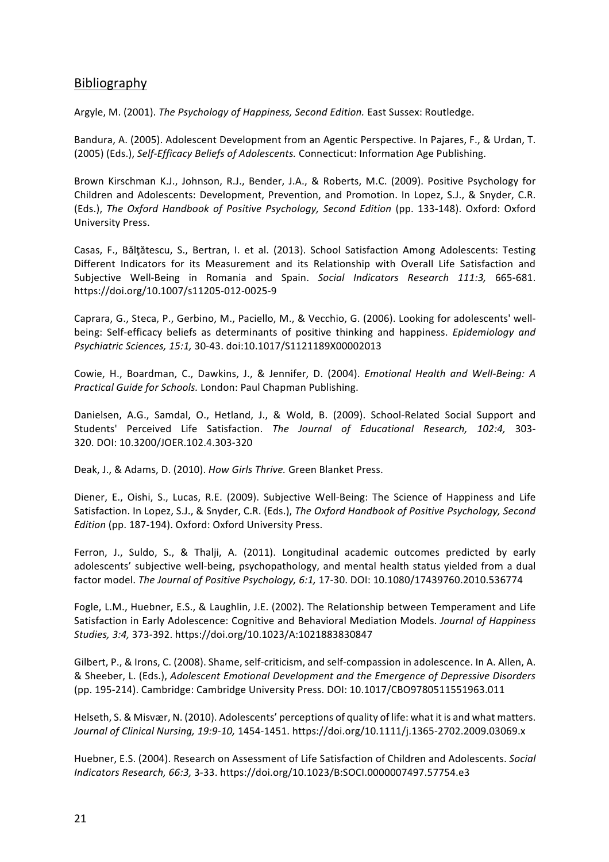# Bibliography

Argyle, M. (2001). The Psychology of Happiness, Second Edition. East Sussex: Routledge.

Bandura, A. (2005). Adolescent Development from an Agentic Perspective. In Pajares, F., & Urdan, T. (2005) (Eds.), Self-Efficacy Beliefs of Adolescents. Connecticut: Information Age Publishing.

Brown Kirschman K.J., Johnson, R.J., Bender, J.A., & Roberts, M.C. (2009). Positive Psychology for Children and Adolescents: Development, Prevention, and Promotion. In Lopez, S.J., & Snyder, C.R. (Eds.), *The Oxford Handbook of Positive Psychology, Second Edition* (pp. 133-148). Oxford: Oxford University Press.

Casas, F., Bălțătescu, S., Bertran, I. et al. (2013). School Satisfaction Among Adolescents: Testing Different Indicators for its Measurement and its Relationship with Overall Life Satisfaction and Subjective Well-Being in Romania and Spain. *Social Indicators Research 111:3,* 665-681. https://doi.org/10.1007/s11205-012-0025-9

Caprara, G., Steca, P., Gerbino, M., Paciello, M., & Vecchio, G. (2006). Looking for adolescents' wellbeing: Self-efficacy beliefs as determinants of positive thinking and happiness. *Epidemiology and Psychiatric Sciences, 15:1,* 30-43. doi:10.1017/S1121189X00002013

Cowie, H., Boardman, C., Dawkins, J., & Jennifer, D. (2004). *Emotional Health and Well-Being: A Practical Guide for Schools.* London: Paul Chapman Publishing.

Danielsen, A.G., Samdal, O., Hetland, J., & Wold, B. (2009). School-Related Social Support and Students' Perceived Life Satisfaction. *The Journal of Educational Research, 102:4,* 303- 320. DOI: 10.3200/JOER.102.4.303-320

Deak, J., & Adams, D. (2010). *How Girls Thrive.* Green Blanket Press.

Diener, E., Oishi, S., Lucas, R.E. (2009). Subjective Well-Being: The Science of Happiness and Life Satisfaction. In Lopez, S.J., & Snyder, C.R. (Eds.), *The Oxford Handbook of Positive Psychology, Second Edition* (pp. 187-194). Oxford: Oxford University Press.

Ferron, J., Suldo, S., & Thalji, A. (2011). Longitudinal academic outcomes predicted by early adolescents' subjective well-being, psychopathology, and mental health status yielded from a dual factor model. *The Journal of Positive Psychology, 6:1,* 17-30. DOI: 10.1080/17439760.2010.536774

Fogle, L.M., Huebner, E.S., & Laughlin, J.E. (2002). The Relationship between Temperament and Life Satisfaction in Early Adolescence: Cognitive and Behavioral Mediation Models. *Journal of Happiness Studies, 3:4,* 373-392. https://doi.org/10.1023/A:1021883830847

Gilbert, P., & Irons, C. (2008). Shame, self-criticism, and self-compassion in adolescence. In A. Allen, A. & Sheeber, L. (Eds.), *Adolescent Emotional Development and the Emergence of Depressive Disorders* (pp. 195-214). Cambridge: Cambridge University Press. DOI: 10.1017/CBO9780511551963.011

Helseth, S. & Misvær, N. (2010). Adolescents' perceptions of quality of life: what it is and what matters. *Journal of Clinical Nursing, 19:9-10,* 1454-1451. https://doi.org/10.1111/j.1365-2702.2009.03069.x

Huebner, E.S. (2004). Research on Assessment of Life Satisfaction of Children and Adolescents. *Social Indicators Research, 66:3,* 3-33. https://doi.org/10.1023/B:SOCI.0000007497.57754.e3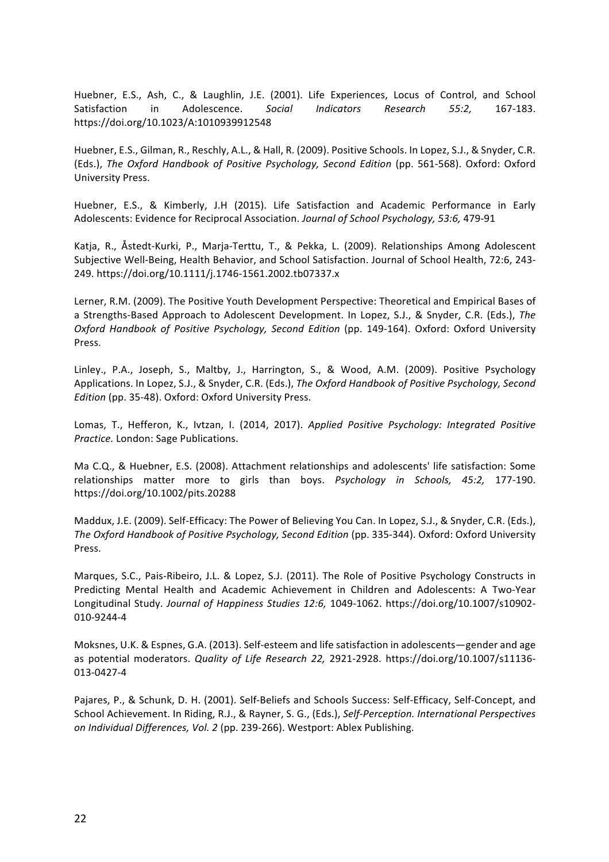Huebner, E.S., Ash, C., & Laughlin, J.E. (2001). Life Experiences, Locus of Control, and School Satisfaction in Adolescence. *Social Indicators Research 55:2.* 167-183. https://doi.org/10.1023/A:1010939912548

Huebner, E.S., Gilman, R., Reschly, A.L., & Hall, R. (2009). Positive Schools. In Lopez, S.J., & Snyder, C.R. (Eds.), *The Oxford Handbook of Positive Psychology, Second Edition* (pp. 561-568). Oxford: Oxford University Press.

Huebner, E.S., & Kimberly, J.H (2015). Life Satisfaction and Academic Performance in Early Adolescents: Evidence for Reciprocal Association. *Journal of School Psychology, 53:6, 479-91* 

Katja, R., Åstedt-Kurki, P., Marja-Terttu, T., & Pekka, L. (2009). Relationships Among Adolescent Subjective Well-Being, Health Behavior, and School Satisfaction. Journal of School Health, 72:6, 243-249. https://doi.org/10.1111/j.1746-1561.2002.tb07337.x

Lerner, R.M. (2009). The Positive Youth Development Perspective: Theoretical and Empirical Bases of a Strengths-Based Approach to Adolescent Development. In Lopez, S.J., & Snyder, C.R. (Eds.), The *Oxford Handbook of Positive Psychology, Second Edition* (pp. 149-164). Oxford: Oxford University Press.

Linley., P.A., Joseph, S., Maltby, J., Harrington, S., & Wood, A.M. (2009). Positive Psychology Applications. In Lopez, S.J., & Snyder, C.R. (Eds.), *The Oxford Handbook of Positive Psychology, Second Edition* (pp. 35-48). Oxford: Oxford University Press.

Lomas, T., Hefferon, K., Ivtzan, I. (2014, 2017). *Applied Positive Psychology: Integrated Positive Practice.* London: Sage Publications.

Ma C.Q., & Huebner, E.S. (2008). Attachment relationships and adolescents' life satisfaction: Some relationships matter more to girls than boys. *Psychology in Schools, 45:2, 177-190*. https://doi.org/10.1002/pits.20288

Maddux, J.E. (2009). Self-Efficacy: The Power of Believing You Can. In Lopez, S.J., & Snyder, C.R. (Eds.), The Oxford Handbook of Positive Psychology, Second Edition (pp. 335-344). Oxford: Oxford University Press.

Marques, S.C., Pais-Ribeiro, J.L. & Lopez, S.J. (2011). The Role of Positive Psychology Constructs in Predicting Mental Health and Academic Achievement in Children and Adolescents: A Two-Year Longitudinal Study. Journal of Happiness Studies 12:6, 1049-1062. https://doi.org/10.1007/s10902-010-9244-4

Moksnes, U.K. & Espnes, G.A. (2013). Self-esteem and life satisfaction in adolescents—gender and age as potential moderators. *Quality of Life Research 22, 2921-2928*. https://doi.org/10.1007/s11136-013-0427-4

Pajares, P., & Schunk, D. H. (2001). Self-Beliefs and Schools Success: Self-Efficacy, Self-Concept, and School Achievement. In Riding, R.J., & Rayner, S. G., (Eds.), *Self-Perception. International Perspectives on Individual Differences, Vol.* 2 (pp. 239-266). Westport: Ablex Publishing.